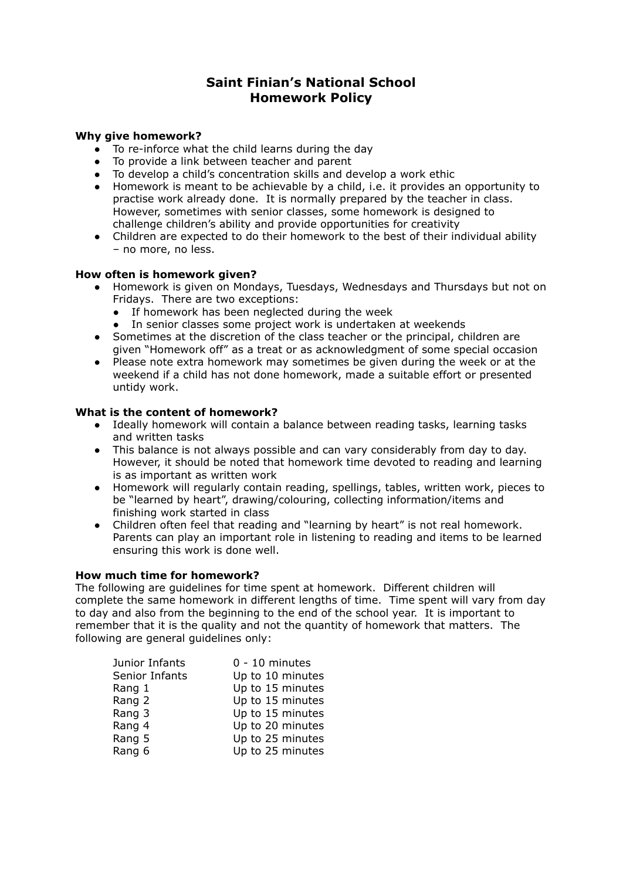# **Saint Finian's National School Homework Policy**

# **Why give homework?**

- To re-inforce what the child learns during the day
- To provide a link between teacher and parent
- To develop a child's concentration skills and develop a work ethic
- Homework is meant to be achievable by a child, i.e. it provides an opportunity to practise work already done. It is normally prepared by the teacher in class. However, sometimes with senior classes, some homework is designed to challenge children's ability and provide opportunities for creativity
- Children are expected to do their homework to the best of their individual ability – no more, no less.

## **How often is homework given?**

- Homework is given on Mondays, Tuesdays, Wednesdays and Thursdays but not on Fridays. There are two exceptions:
	- If homework has been neglected during the week
	- In senior classes some project work is undertaken at weekends
- Sometimes at the discretion of the class teacher or the principal, children are given "Homework off" as a treat or as acknowledgment of some special occasion
- Please note extra homework may sometimes be given during the week or at the weekend if a child has not done homework, made a suitable effort or presented untidy work.

## **What is the content of homework?**

- Ideally homework will contain a balance between reading tasks, learning tasks and written tasks
- This balance is not always possible and can vary considerably from day to day. However, it should be noted that homework time devoted to reading and learning is as important as written work
- Homework will regularly contain reading, spellings, tables, written work, pieces to be "learned by heart", drawing/colouring, collecting information/items and finishing work started in class
- Children often feel that reading and "learning by heart" is not real homework. Parents can play an important role in listening to reading and items to be learned ensuring this work is done well.

## **How much time for homework?**

The following are guidelines for time spent at homework. Different children will complete the same homework in different lengths of time. Time spent will vary from day to day and also from the beginning to the end of the school year. It is important to remember that it is the quality and not the quantity of homework that matters. The following are general guidelines only:

| Junior Infants | $0 - 10$ minutes |
|----------------|------------------|
| Senior Infants | Up to 10 minutes |
| Rang 1         | Up to 15 minutes |
| Rang 2         | Up to 15 minutes |
| Rang 3         | Up to 15 minutes |
| Rang 4         | Up to 20 minutes |
| Rang 5         | Up to 25 minutes |
| Rang 6         | Up to 25 minutes |